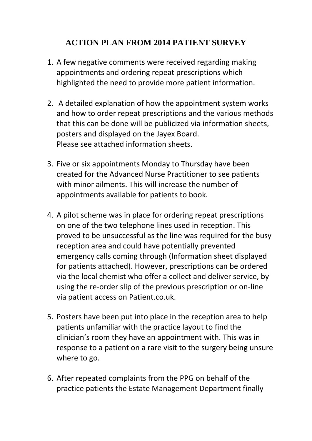## **ACTION PLAN FROM 2014 PATIENT SURVEY**

- 1. A few negative comments were received regarding making appointments and ordering repeat prescriptions which highlighted the need to provide more patient information.
- 2. A detailed explanation of how the appointment system works and how to order repeat prescriptions and the various methods that this can be done will be publicized via information sheets, posters and displayed on the Jayex Board. Please see attached information sheets.
- 3. Five or six appointments Monday to Thursday have been created for the Advanced Nurse Practitioner to see patients with minor ailments. This will increase the number of appointments available for patients to book.
- 4. A pilot scheme was in place for ordering repeat prescriptions on one of the two telephone lines used in reception. This proved to be unsuccessful as the line was required for the busy reception area and could have potentially prevented emergency calls coming through (Information sheet displayed for patients attached). However, prescriptions can be ordered via the local chemist who offer a collect and deliver service, by using the re-order slip of the previous prescription or on-line via patient access on Patient.co.uk.
- 5. Posters have been put into place in the reception area to help patients unfamiliar with the practice layout to find the clinician's room they have an appointment with. This was in response to a patient on a rare visit to the surgery being unsure where to go.
- 6. After repeated complaints from the PPG on behalf of the practice patients the Estate Management Department finally